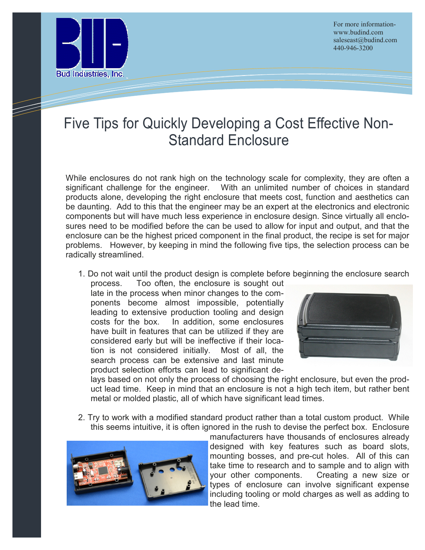

For more informationwww.budind.com saleseast@budind.com 440-946-3200

## Five Tips for Quickly Developing a Cost Effective Non-Standard Enclosure

While enclosures do not rank high on the technology scale for complexity, they are often a significant challenge for the engineer. With an unlimited number of choices in standard products alone, developing the right enclosure that meets cost, function and aesthetics can be daunting. Add to this that the engineer may be an expert at the electronics and electronic components but will have much less experience in enclosure design. Since virtually all enclosures need to be modified before the can be used to allow for input and output, and that the enclosure can be the highest priced component in the final product, the recipe is set for major problems. However, by keeping in mind the following five tips, the selection process can be radically streamlined.

1. Do not wait until the product design is complete before beginning the enclosure search

process. Too often, the enclosure is sought out late in the process when minor changes to the components become almost impossible, potentially leading to extensive production tooling and design In addition, some enclosures have built in features that can be utilized if they are considered early but will be ineffective if their location is not considered initially. Most of all, the search process can be extensive and last minute product selection efforts can lead to significant de-



lays based on not only the process of choosing the right enclosure, but even the product lead time. Keep in mind that an enclosure is not a high tech item, but rather bent metal or molded plastic, all of which have significant lead times.

2. Try to work with a modified standard product rather than a total custom product. While this seems intuitive, it is often ignored in the rush to devise the perfect box. Enclosure



manufacturers have thousands of enclosures already designed with key features such as board slots, mounting bosses, and pre-cut holes. All of this can take time to research and to sample and to align with your other components. Creating a new size or types of enclosure can involve significant expense including tooling or mold charges as well as adding to the lead time.